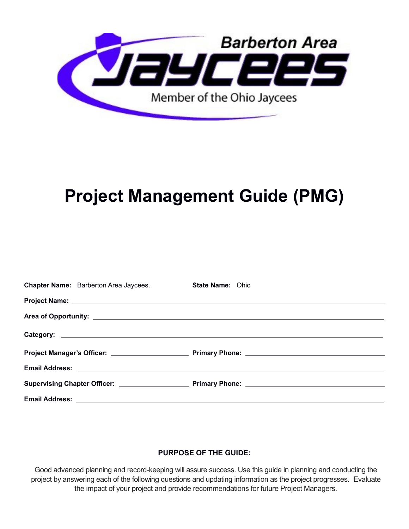

# **Project Management Guide (PMG)**

| <b>Chapter Name:</b> Barberton Area Jaycees.             | <b>State Name: Ohio</b> |
|----------------------------------------------------------|-------------------------|
|                                                          |                         |
|                                                          |                         |
|                                                          |                         |
|                                                          |                         |
| Email Address: <u>Communication of the Communication</u> |                         |
|                                                          |                         |
|                                                          |                         |

## **PURPOSE OF THE GUIDE:**

Good advanced planning and record-keeping will assure success. Use this guide in planning and conducting the project by answering each of the following questions and updating information as the project progresses. Evaluate the impact of your project and provide recommendations for future Project Managers.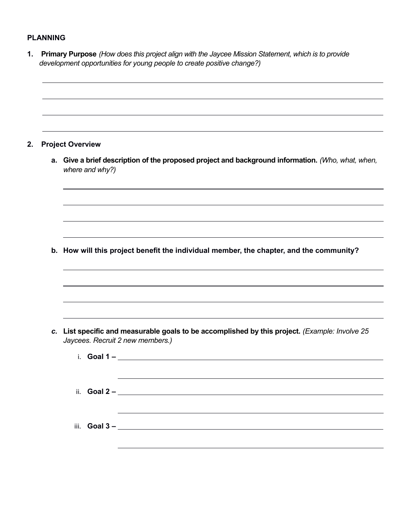#### **PLANNING**

 $\overline{a}$ 

**1. Primary Purpose** *(How does this project align with the Jaycee Mission Statement, which is to provide development opportunities for young people to create positive change?)*

#### **2. Project Overview**

 $\overline{a}$ 

**a. Give a brief description of the proposed project and background information.** *(Who, what, when, where and why?)*

**b. How will this project benefit the individual member, the chapter, and the community?**

*c.* **List specific and measurable goals to be accomplished by this project.** *(Example: Involve 25 Jaycees. Recruit 2 new members.)*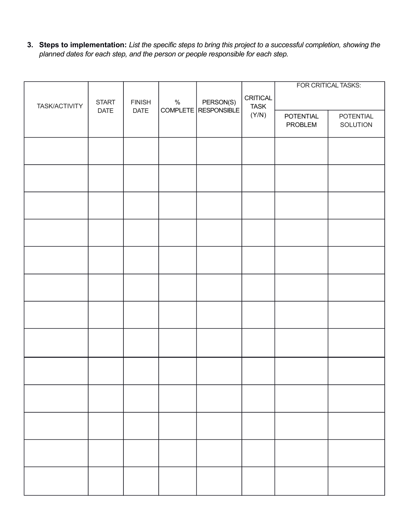**3. Steps to implementation:** *List the specific steps to bring this project to a successful completion, showing the planned dates for each step, and the person or people responsible for each step.*

|               |              |               |      |                                     |             |                             | FOR CRITICAL TASKS:   |
|---------------|--------------|---------------|------|-------------------------------------|-------------|-----------------------------|-----------------------|
|               | <b>START</b> | <b>FINISH</b> | $\%$ |                                     | CRITICAL    |                             |                       |
| TASK/ACTIVITY | DATE         | DATE          |      | PERSON(S)<br>COMPLETE   RESPONSIBLE | <b>TASK</b> |                             |                       |
|               |              |               |      |                                     | (Y/N)       | <b>POTENTIAL</b><br>PROBLEM | POTENTIAL<br>SOLUTION |
|               |              |               |      |                                     |             |                             |                       |
|               |              |               |      |                                     |             |                             |                       |
|               |              |               |      |                                     |             |                             |                       |
|               |              |               |      |                                     |             |                             |                       |
|               |              |               |      |                                     |             |                             |                       |
|               |              |               |      |                                     |             |                             |                       |
|               |              |               |      |                                     |             |                             |                       |
|               |              |               |      |                                     |             |                             |                       |
|               |              |               |      |                                     |             |                             |                       |
|               |              |               |      |                                     |             |                             |                       |
|               |              |               |      |                                     |             |                             |                       |
|               |              |               |      |                                     |             |                             |                       |
|               |              |               |      |                                     |             |                             |                       |
|               |              |               |      |                                     |             |                             |                       |
|               |              |               |      |                                     |             |                             |                       |
|               |              |               |      |                                     |             |                             |                       |
|               |              |               |      |                                     |             |                             |                       |
|               |              |               |      |                                     |             |                             |                       |
|               |              |               |      |                                     |             |                             |                       |
|               |              |               |      |                                     |             |                             |                       |
|               |              |               |      |                                     |             |                             |                       |
|               |              |               |      |                                     |             |                             |                       |
|               |              |               |      |                                     |             |                             |                       |
|               |              |               |      |                                     |             |                             |                       |
|               |              |               |      |                                     |             |                             |                       |
|               |              |               |      |                                     |             |                             |                       |
|               |              |               |      |                                     |             |                             |                       |
|               |              |               |      |                                     |             |                             |                       |
|               |              |               |      |                                     |             |                             |                       |
|               |              |               |      |                                     |             |                             |                       |
|               |              |               |      |                                     |             |                             |                       |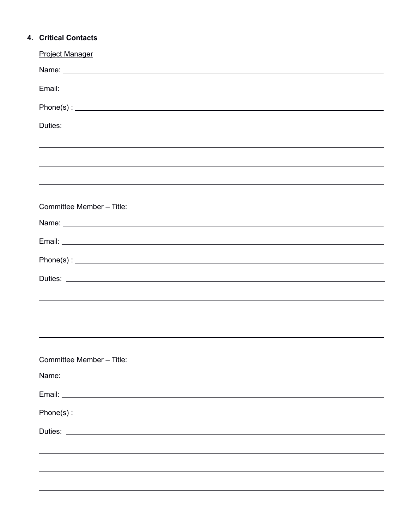## **4. Critical Contacts**

| <b>Project Manager</b>                                                                                                                                                                                                                                                                                                                                                                                        |
|---------------------------------------------------------------------------------------------------------------------------------------------------------------------------------------------------------------------------------------------------------------------------------------------------------------------------------------------------------------------------------------------------------------|
|                                                                                                                                                                                                                                                                                                                                                                                                               |
|                                                                                                                                                                                                                                                                                                                                                                                                               |
|                                                                                                                                                                                                                                                                                                                                                                                                               |
|                                                                                                                                                                                                                                                                                                                                                                                                               |
|                                                                                                                                                                                                                                                                                                                                                                                                               |
|                                                                                                                                                                                                                                                                                                                                                                                                               |
| ,我们也不会有什么?""我们的人,我们也不会有什么?""我们的人,我们也不会有什么?""我们的人,我们也不会有什么?""我们的人,我们也不会有什么?""我们的人                                                                                                                                                                                                                                                                                                                              |
|                                                                                                                                                                                                                                                                                                                                                                                                               |
|                                                                                                                                                                                                                                                                                                                                                                                                               |
|                                                                                                                                                                                                                                                                                                                                                                                                               |
|                                                                                                                                                                                                                                                                                                                                                                                                               |
| $Phone(s): \begin{tabular}{ l l } \hline \multicolumn{3}{ l }{3.5cm} \multicolumn{3}{ l }{5.5cm} \multicolumn{3}{ l }{5.5cm} \multicolumn{3}{ l }{5.5cm} \multicolumn{3}{ l }{5.5cm} \multicolumn{3}{ l }{5.5cm} \multicolumn{3}{ l }{5.5cm} \multicolumn{3}{ l }{5.5cm} \multicolumn{3}{ l }{5.5cm} \multicolumn{3}{ l }{5.5cm} \multicolumn{3}{ l }{5.5cm} \multicolumn{3}{ l }{5.5cm} \multicolumn{3}{ l $ |
|                                                                                                                                                                                                                                                                                                                                                                                                               |
| ,我们也不会有什么。""我们的人,我们也不会有什么?""我们的人,我们也不会有什么?""我们的人,我们也不会有什么?""我们的人,我们也不会有什么?""我们的人                                                                                                                                                                                                                                                                                                                              |
|                                                                                                                                                                                                                                                                                                                                                                                                               |
|                                                                                                                                                                                                                                                                                                                                                                                                               |
|                                                                                                                                                                                                                                                                                                                                                                                                               |
| Committee Member – Title: Committee Member – Title: Committee Member – Title: Committee Member – Title: Committee Member – Title: Committee Member – Title: Committee Member – Title: Committee Member – Title: Committee Memb                                                                                                                                                                                |
|                                                                                                                                                                                                                                                                                                                                                                                                               |
|                                                                                                                                                                                                                                                                                                                                                                                                               |
|                                                                                                                                                                                                                                                                                                                                                                                                               |
|                                                                                                                                                                                                                                                                                                                                                                                                               |
|                                                                                                                                                                                                                                                                                                                                                                                                               |
|                                                                                                                                                                                                                                                                                                                                                                                                               |
|                                                                                                                                                                                                                                                                                                                                                                                                               |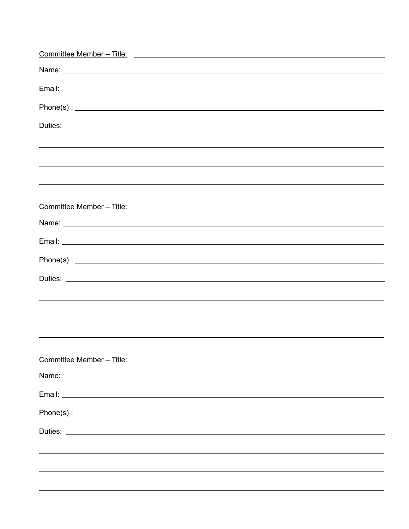| <u>Committee Member – Title:</u>                                                                                                                                                                                                    |
|-------------------------------------------------------------------------------------------------------------------------------------------------------------------------------------------------------------------------------------|
|                                                                                                                                                                                                                                     |
|                                                                                                                                                                                                                                     |
|                                                                                                                                                                                                                                     |
|                                                                                                                                                                                                                                     |
|                                                                                                                                                                                                                                     |
|                                                                                                                                                                                                                                     |
|                                                                                                                                                                                                                                     |
|                                                                                                                                                                                                                                     |
|                                                                                                                                                                                                                                     |
|                                                                                                                                                                                                                                     |
|                                                                                                                                                                                                                                     |
|                                                                                                                                                                                                                                     |
| Duties: <u>Duties:</u> 2004 and 2006 and 2007 and 2008 and 2008 and 2008 and 2008 and 2008 and 2008 and 2008 and 2008 and 2008 and 2008 and 2008 and 2008 and 2008 and 2008 and 2008 and 2008 and 2008 and 2008 and 2008 and 2008 a |
| ,我们也不会有什么。""我们的人,我们也不会有什么?""我们的人,我们也不会有什么?""我们的人,我们也不会有什么?""我们的人,我们也不会有什么?""我们的人                                                                                                                                                    |
|                                                                                                                                                                                                                                     |
|                                                                                                                                                                                                                                     |
|                                                                                                                                                                                                                                     |
|                                                                                                                                                                                                                                     |
|                                                                                                                                                                                                                                     |
|                                                                                                                                                                                                                                     |
|                                                                                                                                                                                                                                     |
|                                                                                                                                                                                                                                     |
|                                                                                                                                                                                                                                     |
|                                                                                                                                                                                                                                     |
|                                                                                                                                                                                                                                     |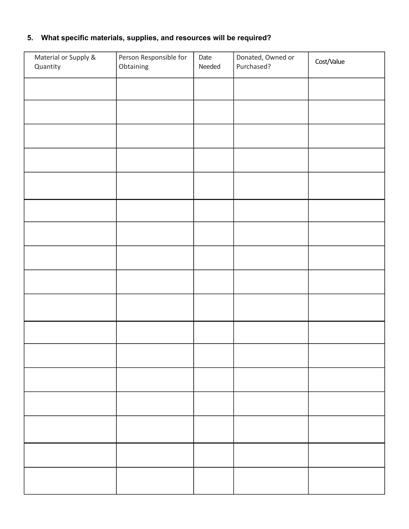## **5. What specific materials, supplies, and resources will be required?**

| Material or Supply &<br>Quantity | Person Responsible for<br>Obtaining | Date<br>Needed | Donated, Owned or<br>Purchased? | Cost/Value |
|----------------------------------|-------------------------------------|----------------|---------------------------------|------------|
|                                  |                                     |                |                                 |            |
|                                  |                                     |                |                                 |            |
|                                  |                                     |                |                                 |            |
|                                  |                                     |                |                                 |            |
|                                  |                                     |                |                                 |            |
|                                  |                                     |                |                                 |            |
|                                  |                                     |                |                                 |            |
|                                  |                                     |                |                                 |            |
|                                  |                                     |                |                                 |            |
|                                  |                                     |                |                                 |            |
|                                  |                                     |                |                                 |            |
|                                  |                                     |                |                                 |            |
|                                  |                                     |                |                                 |            |
|                                  |                                     |                |                                 |            |
|                                  |                                     |                |                                 |            |
|                                  |                                     |                |                                 |            |
|                                  |                                     |                |                                 |            |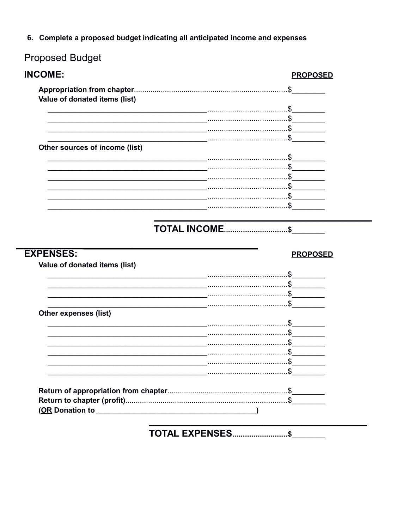6. Complete a proposed budget indicating all anticipated income and expenses

## **Proposed Budget**

| <b>INCOME:</b>                 |                     | <b>PROPOSED</b>        |
|--------------------------------|---------------------|------------------------|
|                                |                     |                        |
| Value of donated items (list)  |                     |                        |
|                                |                     |                        |
|                                |                     |                        |
|                                |                     | . 5                    |
|                                |                     |                        |
| Other sources of income (list) |                     |                        |
|                                |                     |                        |
|                                |                     |                        |
|                                |                     |                        |
|                                |                     |                        |
|                                |                     |                        |
|                                |                     | . 5                    |
|                                |                     |                        |
|                                |                     |                        |
|                                |                     |                        |
| <b>EXPENSES:</b>               | <b>TOTAL INCOME</b> | .\$<br><b>PROPOSED</b> |
| Value of donated items (list)  |                     |                        |
|                                |                     | $\cdot$                |
|                                |                     |                        |
|                                |                     |                        |
|                                |                     |                        |
|                                |                     |                        |
| <b>Other expenses (list)</b>   |                     |                        |
|                                |                     |                        |
|                                |                     |                        |
|                                |                     |                        |
|                                |                     | . \$                   |
|                                |                     |                        |
|                                |                     |                        |
|                                |                     |                        |
|                                |                     |                        |
|                                |                     |                        |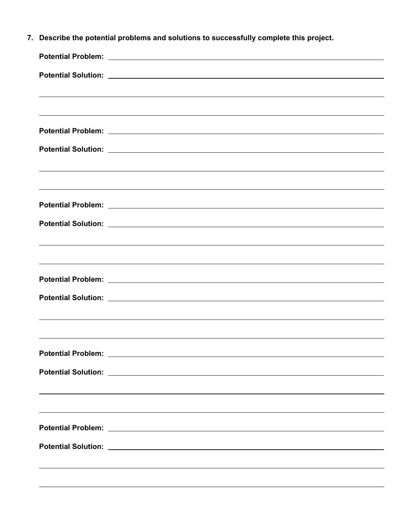| 7. | Describe the potential problems and solutions to successfully complete this project.                                                                                                                                           |  |
|----|--------------------------------------------------------------------------------------------------------------------------------------------------------------------------------------------------------------------------------|--|
|    |                                                                                                                                                                                                                                |  |
|    |                                                                                                                                                                                                                                |  |
|    | <u> 2008 - Andrea San Andrea San Andrea San Andrea San Andrea San Andrea San Andrea San Andrea San Andrea San An</u>                                                                                                           |  |
|    |                                                                                                                                                                                                                                |  |
|    |                                                                                                                                                                                                                                |  |
|    |                                                                                                                                                                                                                                |  |
|    |                                                                                                                                                                                                                                |  |
|    |                                                                                                                                                                                                                                |  |
|    |                                                                                                                                                                                                                                |  |
|    |                                                                                                                                                                                                                                |  |
|    |                                                                                                                                                                                                                                |  |
|    |                                                                                                                                                                                                                                |  |
|    |                                                                                                                                                                                                                                |  |
|    |                                                                                                                                                                                                                                |  |
|    | Potential Solution: Law Management Contract Contract Contract Contract Contract Contract Contract Contract Contract Contract Contract Contract Contract Contract Contract Contract Contract Contract Contract Contract Contrac |  |
|    |                                                                                                                                                                                                                                |  |
|    | Potential Problem: Later and Contract and Contract and Contract and Contract and Contract and Contract and Contract and Contract and Contract and Contract and Contract and Contract and Contract and Contract and Contract an |  |
|    | Potential Solution: Later and Contract and Contract and Contract and Contract and Contract and Contract and                                                                                                                    |  |
|    |                                                                                                                                                                                                                                |  |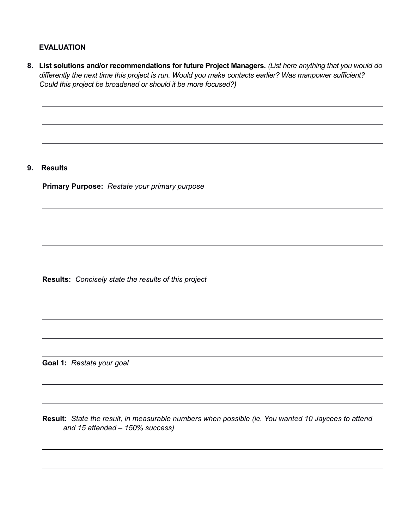#### **EVALUATION**

| 8. | List solutions and/or recommendations for future Project Managers. (List here anything that you would do<br>differently the next time this project is run. Would you make contacts earlier? Was manpower sufficient?<br>Could this project be broadened or should it be more focused?) |
|----|----------------------------------------------------------------------------------------------------------------------------------------------------------------------------------------------------------------------------------------------------------------------------------------|
|    |                                                                                                                                                                                                                                                                                        |
| 9. | <b>Results</b>                                                                                                                                                                                                                                                                         |
|    | Primary Purpose: Restate your primary purpose                                                                                                                                                                                                                                          |
|    |                                                                                                                                                                                                                                                                                        |
|    |                                                                                                                                                                                                                                                                                        |
|    | Results: Concisely state the results of this project                                                                                                                                                                                                                                   |
|    |                                                                                                                                                                                                                                                                                        |
|    |                                                                                                                                                                                                                                                                                        |
|    | Goal 1: Restate your goal                                                                                                                                                                                                                                                              |
|    |                                                                                                                                                                                                                                                                                        |

**Result:** *State the result, in measurable numbers when possible (ie. You wanted 10 Jaycees to attend and 15 attended – 150% success)*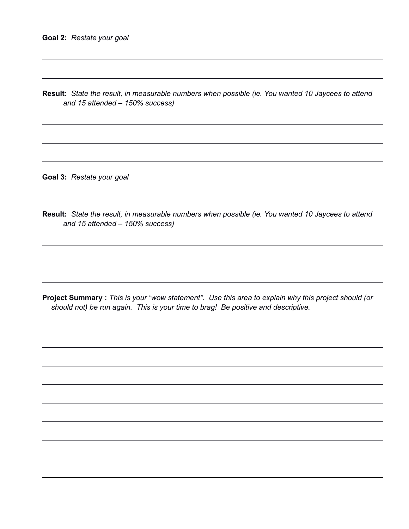**Result:** *State the result, in measurable numbers when possible (ie. You wanted 10 Jaycees to attend and 15 attended – 150% success)*

**Goal 3:** *Restate your goal*

**Result:** *State the result, in measurable numbers when possible (ie. You wanted 10 Jaycees to attend and 15 attended – 150% success)*

**Project Summary :** *This is your "wow statement". Use this area to explain why this project should (or should not) be run again. This is your time to brag! Be positive and descriptive.*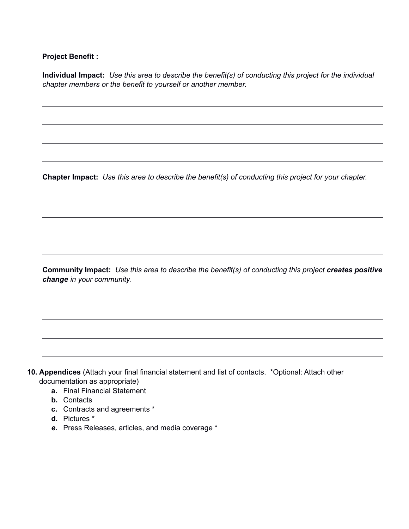### **Project Benefit :**

 **Individual Impact:** *Use this area to describe the benefit(s) of conducting this project for the individual chapter members or the benefit to yourself or another member.*

 **Chapter Impact:** *Use this area to describe the benefit(s) of conducting this project for your chapter.*

 **Community Impact:** *Use this area to describe the benefit(s) of conducting this project creates positive change in your community.*

**10. Appendices** (Attach your final financial statement and list of contacts. \*Optional: Attach other documentation as appropriate)

- **a.** Final Financial Statement
- **b.** Contacts
- **c.** Contracts and agreements \*
- **d.** Pictures \*
- *e.* Press Releases, articles, and media coverage \*